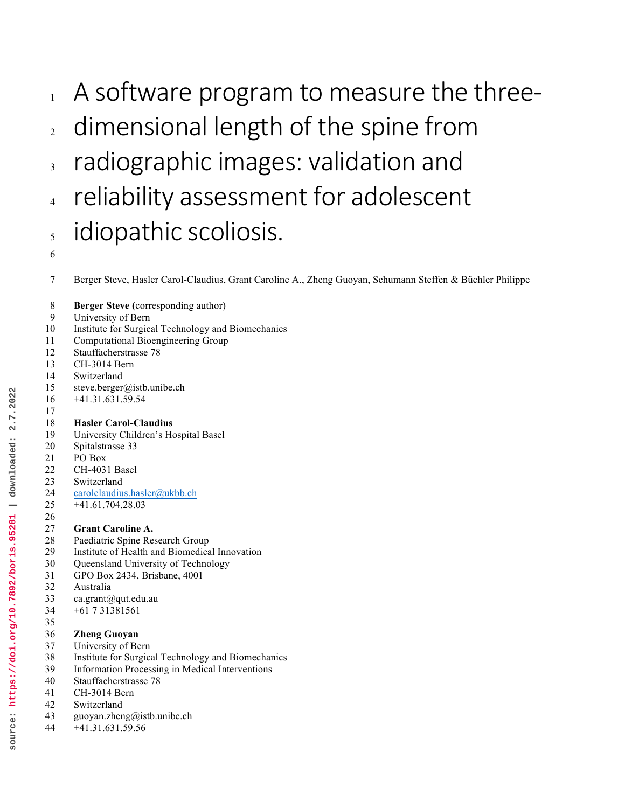- $_1$  A software program to measure the three-
- $2<sub>2</sub>$  dimensional length of the spine from
- 3 radiographic images: validation and
- 4 reliability assessment for adolescent  $_5$  idiopathic scoliosis.
- 

Berger Steve, Hasler Carol-Claudius, Grant Caroline A., Zheng Guoyan, Schumann Steffen & Büchler Philippe

- **Berger Steve (**corresponding author)
- University of Bern
- Institute for Surgical Technology and Biomechanics
- Computational Bioengineering Group
- Stauffacherstrasse 78
- CH-3014 Bern
- Switzerland
- steve.berger@istb.unibe.ch
- +41.31.631.59.54

#### **Hasler Carol-Claudius**

- University Children's Hospital Basel Spitalstrasse 33 PO Box CH-4031 Basel
- Switzerland
- carolclaudius.hasler@ukbb.ch
- +41.61.704.28.03

#### **Grant Caroline A.**

- Paediatric Spine Research Group
- Institute of Health and Biomedical Innovation
- Queensland University of Technology
- GPO Box 2434, Brisbane, 4001
- Australia
- ca.grant@qut.edu.au +61 7 31381561

## **Zheng Guoyan**

- University of Bern
- Institute for Surgical Technology and Biomechanics
- Information Processing in Medical Interventions
- Stauffacherstrasse 78
- CH-3014 Bern
- Switzerland
- guoyan.zheng@istb.unibe.ch
- +41.31.631.59.56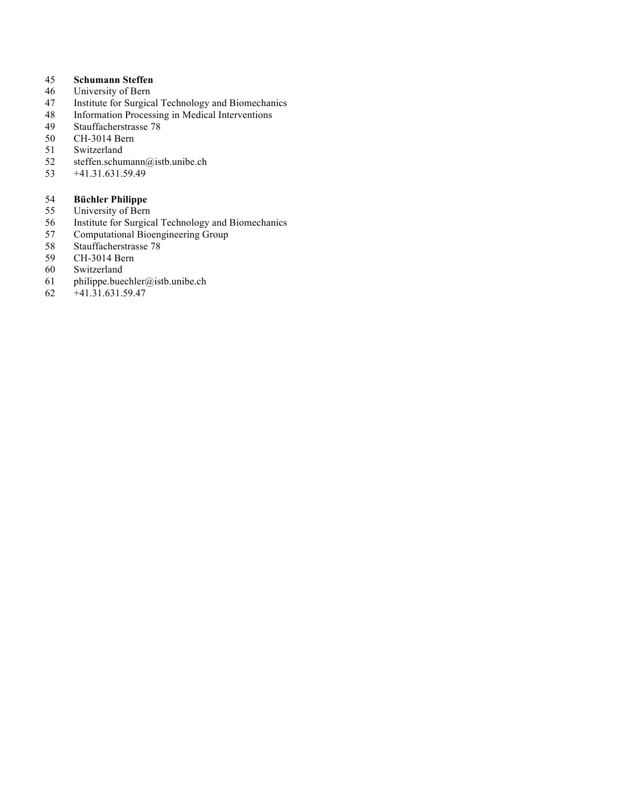# 45 **Schumann Steffen**

- 46 University of Bern<br>47 Institute for Surgica
- Institute for Surgical Technology and Biomechanics
- 48 Information Processing in Medical Interventions<br>49 Stauffacherstrasse 78
- Stauffacherstrasse 78
- 50 CH-3014 Bern<br>51 Switzerland
- Switzerland
- 52 steffen.schumann@istb.unibe.ch
- 53 +41.31.631.59.49

- 54 **Büchler Philippe** 55 University of Bern<br>56 Institute for Surgica
- Institute for Surgical Technology and Biomechanics
- 57 Computational Bioengineering Group
- 58 Stauffacherstrasse 78<br>59 CH-3014 Bern
- 59 CH-3014 Bern<br>60 Switzerland
- 60 Switzerland<br>61 philippe.bue
- philippe.buechler@istb.unibe.ch
- 62 +41.31.631.59.47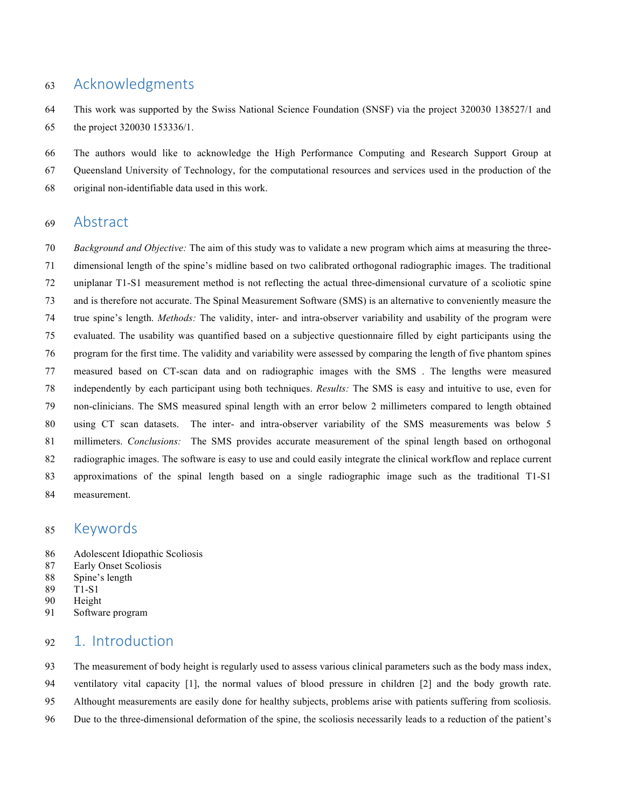## Acknowledgments

 This work was supported by the Swiss National Science Foundation (SNSF) via the project 320030 138527/1 and the project 320030 153336/1.

 The authors would like to acknowledge the High Performance Computing and Research Support Group at Queensland University of Technology, for the computational resources and services used in the production of the original non-identifiable data used in this work.

## Abstract

 *Background and Objective:* The aim of this study was to validate a new program which aims at measuring the three- dimensional length of the spine's midline based on two calibrated orthogonal radiographic images. The traditional uniplanar T1-S1 measurement method is not reflecting the actual three-dimensional curvature of a scoliotic spine and is therefore not accurate. The Spinal Measurement Software (SMS) is an alternative to conveniently measure the true spine's length. *Methods:* The validity, inter- and intra-observer variability and usability of the program were evaluated. The usability was quantified based on a subjective questionnaire filled by eight participants using the program for the first time. The validity and variability were assessed by comparing the length of five phantom spines measured based on CT-scan data and on radiographic images with the SMS . The lengths were measured independently by each participant using both techniques. *Results:* The SMS is easy and intuitive to use, even for non-clinicians. The SMS measured spinal length with an error below 2 millimeters compared to length obtained using CT scan datasets. The inter- and intra-observer variability of the SMS measurements was below 5 millimeters. *Conclusions:* The SMS provides accurate measurement of the spinal length based on orthogonal radiographic images. The software is easy to use and could easily integrate the clinical workflow and replace current approximations of the spinal length based on a single radiographic image such as the traditional T1-S1 measurement.

## Keywords

- Adolescent Idiopathic Scoliosis
- Early Onset Scoliosis
- Spine's length
- T1-S1
- Height
- Software program

## 1. Introduction

The measurement of body height is regularly used to assess various clinical parameters such as the body mass index,

ventilatory vital capacity [1], the normal values of blood pressure in children [2] and the body growth rate.

Althought measurements are easily done for healthy subjects, problems arise with patients suffering from scoliosis.

Due to the three-dimensional deformation of the spine, the scoliosis necessarily leads to a reduction of the patient's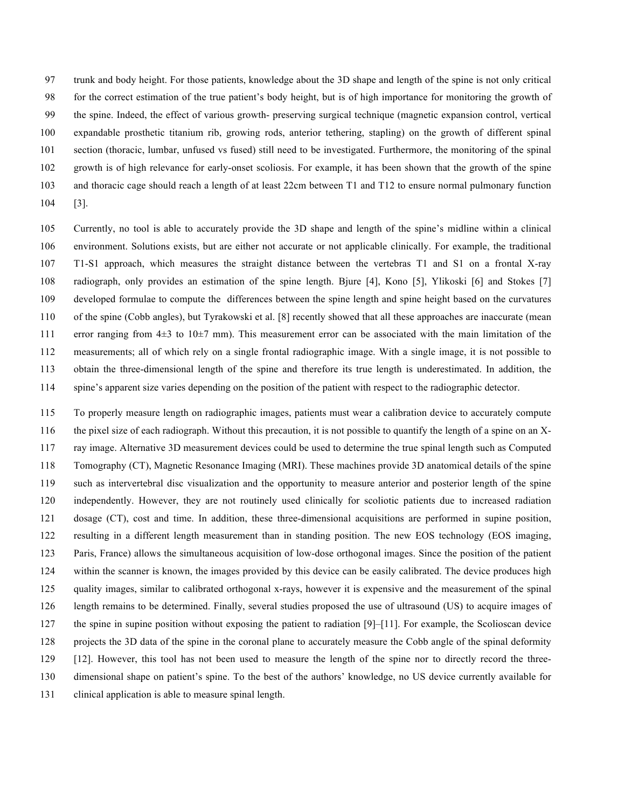trunk and body height. For those patients, knowledge about the 3D shape and length of the spine is not only critical for the correct estimation of the true patient's body height, but is of high importance for monitoring the growth of the spine. Indeed, the effect of various growth- preserving surgical technique (magnetic expansion control, vertical expandable prosthetic titanium rib, growing rods, anterior tethering, stapling) on the growth of different spinal section (thoracic, lumbar, unfused vs fused) still need to be investigated. Furthermore, the monitoring of the spinal growth is of high relevance for early-onset scoliosis. For example, it has been shown that the growth of the spine and thoracic cage should reach a length of at least 22cm between T1 and T12 to ensure normal pulmonary function [3].

 Currently, no tool is able to accurately provide the 3D shape and length of the spine's midline within a clinical environment. Solutions exists, but are either not accurate or not applicable clinically. For example, the traditional T1-S1 approach, which measures the straight distance between the vertebras T1 and S1 on a frontal X-ray radiograph, only provides an estimation of the spine length. Bjure [4], Kono [5], Ylikoski [6] and Stokes [7] developed formulae to compute the differences between the spine length and spine height based on the curvatures of the spine (Cobb angles), but Tyrakowski et al. [8] recently showed that all these approaches are inaccurate (mean error ranging from 4±3 to 10±7 mm). This measurement error can be associated with the main limitation of the measurements; all of which rely on a single frontal radiographic image. With a single image, it is not possible to obtain the three-dimensional length of the spine and therefore its true length is underestimated. In addition, the spine's apparent size varies depending on the position of the patient with respect to the radiographic detector.

 To properly measure length on radiographic images, patients must wear a calibration device to accurately compute the pixel size of each radiograph. Without this precaution, it is not possible to quantify the length of a spine on an X- ray image. Alternative 3D measurement devices could be used to determine the true spinal length such as Computed Tomography (CT), Magnetic Resonance Imaging (MRI). These machines provide 3D anatomical details of the spine such as intervertebral disc visualization and the opportunity to measure anterior and posterior length of the spine independently. However, they are not routinely used clinically for scoliotic patients due to increased radiation dosage (CT), cost and time. In addition, these three-dimensional acquisitions are performed in supine position, resulting in a different length measurement than in standing position. The new EOS technology (EOS imaging, Paris, France) allows the simultaneous acquisition of low-dose orthogonal images. Since the position of the patient within the scanner is known, the images provided by this device can be easily calibrated. The device produces high quality images, similar to calibrated orthogonal x-rays, however it is expensive and the measurement of the spinal length remains to be determined. Finally, several studies proposed the use of ultrasound (US) to acquire images of the spine in supine position without exposing the patient to radiation [9]–[11]. For example, the Scolioscan device projects the 3D data of the spine in the coronal plane to accurately measure the Cobb angle of the spinal deformity [12]. However, this tool has not been used to measure the length of the spine nor to directly record the three- dimensional shape on patient's spine. To the best of the authors' knowledge, no US device currently available for clinical application is able to measure spinal length.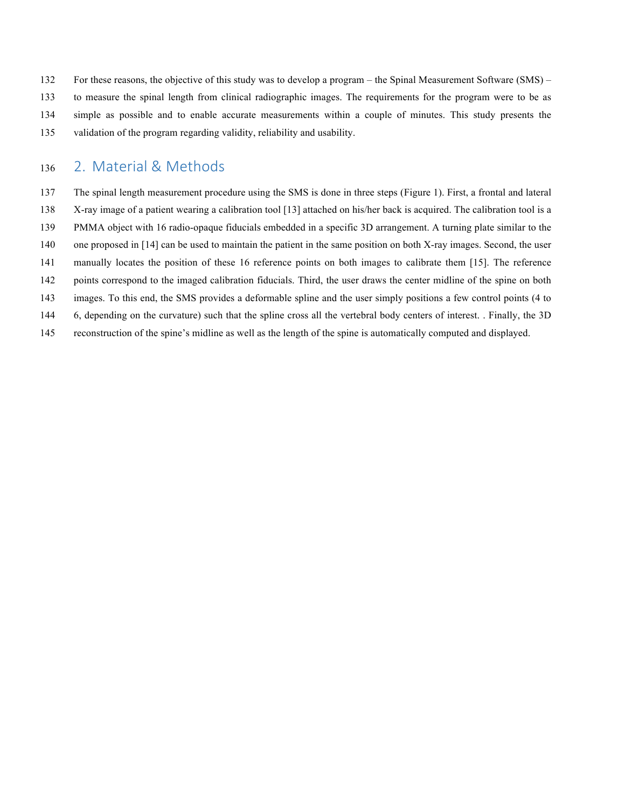- For these reasons, the objective of this study was to develop a program the Spinal Measurement Software (SMS) –
- to measure the spinal length from clinical radiographic images. The requirements for the program were to be as
- simple as possible and to enable accurate measurements within a couple of minutes. This study presents the
- validation of the program regarding validity, reliability and usability.

## 136 2. Material & Methods

- The spinal length measurement procedure using the SMS is done in three steps (Figure 1). First, a frontal and lateral
- X-ray image of a patient wearing a calibration tool [13] attached on his/her back is acquired. The calibration tool is a
- PMMA object with 16 radio-opaque fiducials embedded in a specific 3D arrangement. A turning plate similar to the
- one proposed in [14] can be used to maintain the patient in the same position on both X-ray images. Second, the user
- manually locates the position of these 16 reference points on both images to calibrate them [15]. The reference
- points correspond to the imaged calibration fiducials. Third, the user draws the center midline of the spine on both
- images. To this end, the SMS provides a deformable spline and the user simply positions a few control points (4 to
- 6, depending on the curvature) such that the spline cross all the vertebral body centers of interest. . Finally, the 3D
- reconstruction of the spine's midline as well as the length of the spine is automatically computed and displayed.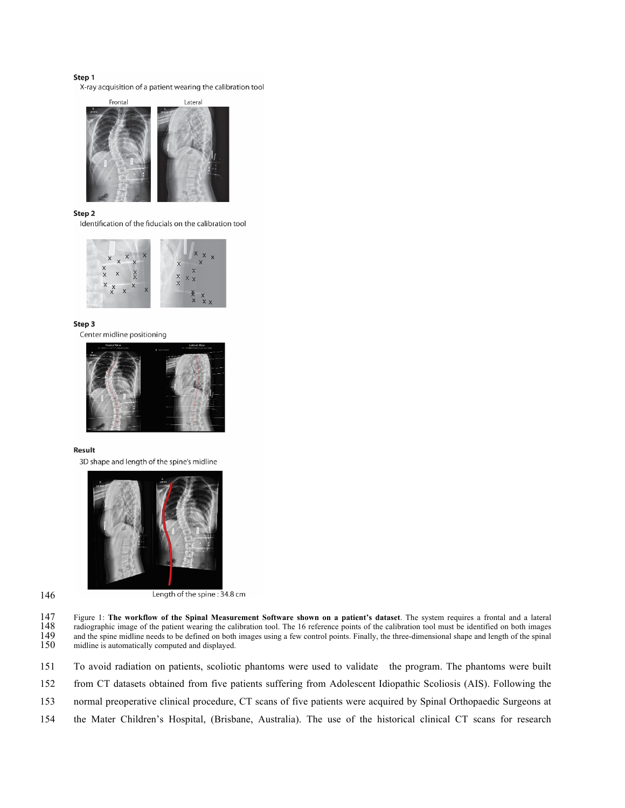#### Step 1

X-ray acquisition of a patient wearing the calibration tool



#### Step<sub>2</sub>

Identification of the fiducials on the calibration tool



#### Step 3

Center midline positioning



#### Result

3D shape and length of the spine's midline



#### 146

Length of the spine: 34.8 cm

147 Figure 1: **The workflow of the Spinal Measurement Software shown on a patient's dataset**. The system requires a frontal and a lateral 148 radiographic image of the patient wearing the calibration tool. The 16 reference points of the calibration tool must be identified on both images and the spinal 150 and the spinal midline is automatically computed and and the spine midline needs to be defined on both images using a few control points. Finally, the three-dimensional shape and length of the spinal midline is automatically computed and displayed.

| 151 To avoid radiation on patients, scoliotic phantoms were used to validate the program. The phantoms were built |  |  |
|-------------------------------------------------------------------------------------------------------------------|--|--|
|                                                                                                                   |  |  |

152 from CT datasets obtained from five patients suffering from Adolescent Idiopathic Scoliosis (AIS). Following the

153 normal preoperative clinical procedure, CT scans of five patients were acquired by Spinal Orthopaedic Surgeons at

154 the Mater Children's Hospital, (Brisbane, Australia). The use of the historical clinical CT scans for research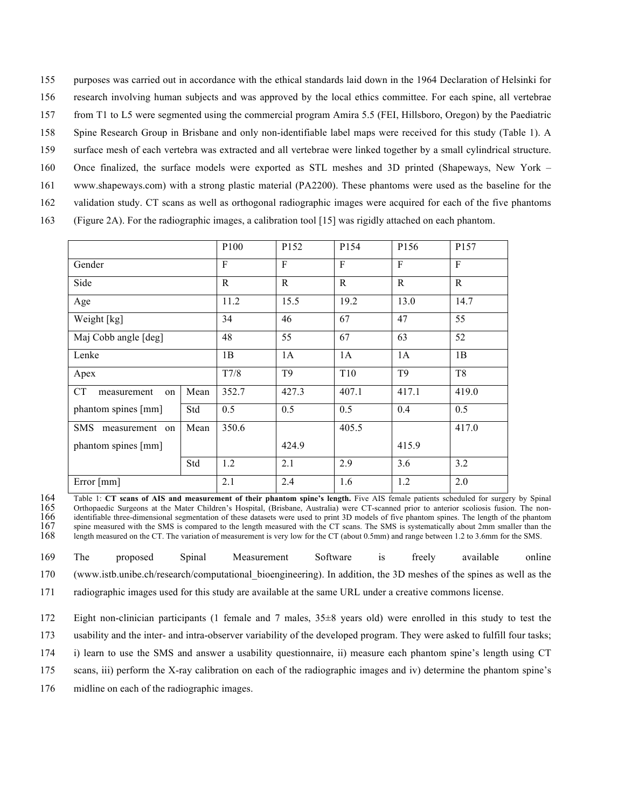- 155 purposes was carried out in accordance with the ethical standards laid down in the 1964 Declaration of Helsinki for
- 156 research involving human subjects and was approved by the local ethics committee. For each spine, all vertebrae
- 157 from T1 to L5 were segmented using the commercial program Amira 5.5 (FEI, Hillsboro, Oregon) by the Paediatric
- 158 Spine Research Group in Brisbane and only non-identifiable label maps were received for this study (Table 1). A
- 159 surface mesh of each vertebra was extracted and all vertebrae were linked together by a small cylindrical structure.
- 160 Once finalized, the surface models were exported as STL meshes and 3D printed (Shapeways, New York –
- 161 www.shapeways.com) with a strong plastic material (PA2200). These phantoms were used as the baseline for the
- 162 validation study. CT scans as well as orthogonal radiographic images were acquired for each of the five phantoms
- 163 (Figure 2A). For the radiographic images, a calibration tool [15] was rigidly attached on each phantom.

|                              |              | P <sub>100</sub> | P <sub>152</sub> | P154            | P156           | P157           |
|------------------------------|--------------|------------------|------------------|-----------------|----------------|----------------|
| Gender                       | $\mathbf{F}$ | $\mathbf{F}$     | $\mathbf{F}$     | F               | $\mathbf{F}$   |                |
| Side                         | $\mathbf R$  | $\mathbf R$      | $\mathbf{R}$     | $\mathbf{R}$    | $\mathbf R$    |                |
| Age                          | 11.2         | 15.5             | 19.2             | 13.0            | 14.7           |                |
| Weight [kg]                  | 34           | 46               | 67               | 47              | 55             |                |
| Maj Cobb angle [deg]         |              | 48               | 55               | 67              | 63             | 52             |
| Lenke                        | 1B           | 1A               | 1A               | 1A              | 1B             |                |
| Apex                         |              | T7/8             | T <sub>9</sub>   | T <sub>10</sub> | T <sub>9</sub> | T <sub>8</sub> |
| CT<br>measurement<br>on      | Mean         | 352.7            | 427.3            | 407.1           | 417.1          | 419.0          |
| phantom spines [mm]          | Std          | 0.5              | 0.5              | 0.5             | 0.4            | 0.5            |
| <b>SMS</b><br>measurement on | Mean         | 350.6            |                  | 405.5           |                | 417.0          |
| phantom spines [mm]          |              |                  | 424.9            |                 | 415.9          |                |
|                              | Std          | 1.2              | 2.1              | 2.9             | 3.6            | 3.2            |
| Error ${\text{[mm]}}$        |              | 2.1              | 2.4              | 1.6             | 1.2            | 2.0            |

164 Table 1: **CT scans of AIS and measurement of their phantom spine's length.** Five AIS female patients scheduled for surgery by Spinal 165 Orthopaedic Surgeons at the Mater Children's Hospital, (Brisbane, Australia) were CT-scanned prior to anterior scoliosis fusion. The non-<br>166 identifiable three-dimensional segmentation of these datasets were used to p 166 identifiable three-dimensional segmentation of these datasets were used to print 3D models of five phantom spines. The length of the phantom 167 spine measured with the SMS is compared to the length measured with the C 167 spine measured with the SMS is compared to the length measured with the CT scans. The SMS is systematically about 2mm smaller than the 168 length measured on the CT. The variation of measurement is very low for the CT length measured on the CT. The variation of measurement is very low for the CT (about 0.5mm) and range between 1.2 to 3.6mm for the SMS.

169 The proposed Spinal Measurement Software is freely available online 170 (www.istb.unibe.ch/research/computational\_bioengineering). In addition, the 3D meshes of the spines as well as the 171 radiographic images used for this study are available at the same URL under a creative commons license.

172 Eight non-clinician participants (1 female and 7 males, 35±8 years old) were enrolled in this study to test the

173 usability and the inter- and intra-observer variability of the developed program. They were asked to fulfill four tasks;

- 174 i) learn to use the SMS and answer a usability questionnaire, ii) measure each phantom spine's length using CT
- 175 scans, iii) perform the X-ray calibration on each of the radiographic images and iv) determine the phantom spine's

176 midline on each of the radiographic images.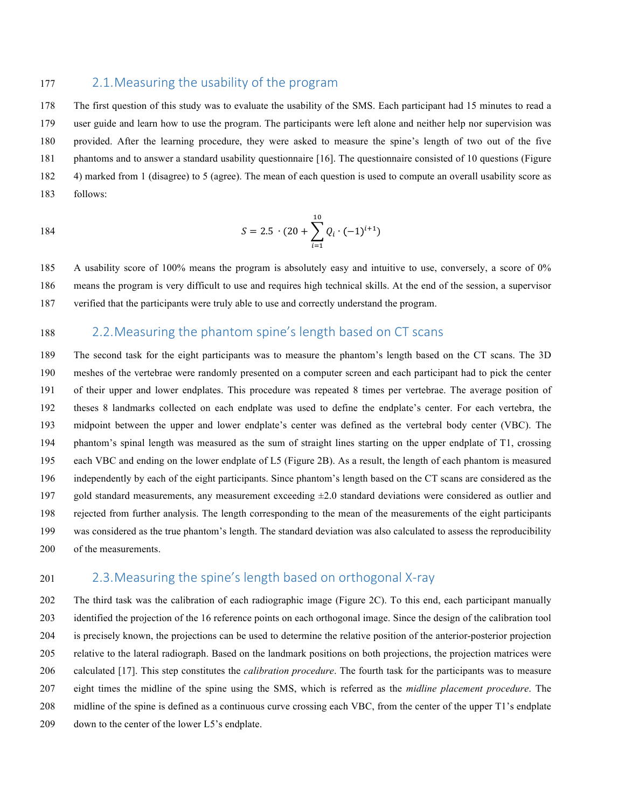### 177 2.1. Measuring the usability of the program

 The first question of this study was to evaluate the usability of the SMS. Each participant had 15 minutes to read a user guide and learn how to use the program. The participants were left alone and neither help nor supervision was provided. After the learning procedure, they were asked to measure the spine's length of two out of the five phantoms and to answer a standard usability questionnaire [16]. The questionnaire consisted of 10 questions (Figure 4) marked from 1 (disagree) to 5 (agree). The mean of each question is used to compute an overall usability score as follows:

184 
$$
S = 2.5 \cdot (20 + \sum_{i=1}^{10} Q_i \cdot (-1)^{i+1})
$$

 A usability score of 100% means the program is absolutely easy and intuitive to use, conversely, a score of 0% means the program is very difficult to use and requires high technical skills. At the end of the session, a supervisor verified that the participants were truly able to use and correctly understand the program.

## 188 2.2. Measuring the phantom spine's length based on CT scans

 The second task for the eight participants was to measure the phantom's length based on the CT scans. The 3D meshes of the vertebrae were randomly presented on a computer screen and each participant had to pick the center of their upper and lower endplates. This procedure was repeated 8 times per vertebrae. The average position of theses 8 landmarks collected on each endplate was used to define the endplate's center. For each vertebra, the midpoint between the upper and lower endplate's center was defined as the vertebral body center (VBC). The phantom's spinal length was measured as the sum of straight lines starting on the upper endplate of T1, crossing each VBC and ending on the lower endplate of L5 (Figure 2B). As a result, the length of each phantom is measured independently by each of the eight participants. Since phantom's length based on the CT scans are considered as the 197 gold standard measurements, any measurement exceeding  $\pm 2.0$  standard deviations were considered as outlier and rejected from further analysis. The length corresponding to the mean of the measurements of the eight participants was considered as the true phantom's length. The standard deviation was also calculated to assess the reproducibility of the measurements.

### 201 2.3. Measuring the spine's length based on orthogonal X-ray

 The third task was the calibration of each radiographic image (Figure 2C). To this end, each participant manually identified the projection of the 16 reference points on each orthogonal image. Since the design of the calibration tool is precisely known, the projections can be used to determine the relative position of the anterior-posterior projection relative to the lateral radiograph. Based on the landmark positions on both projections, the projection matrices were calculated [17]. This step constitutes the *calibration procedure*. The fourth task for the participants was to measure eight times the midline of the spine using the SMS, which is referred as the *midline placement procedure*. The midline of the spine is defined as a continuous curve crossing each VBC, from the center of the upper T1's endplate down to the center of the lower L5's endplate.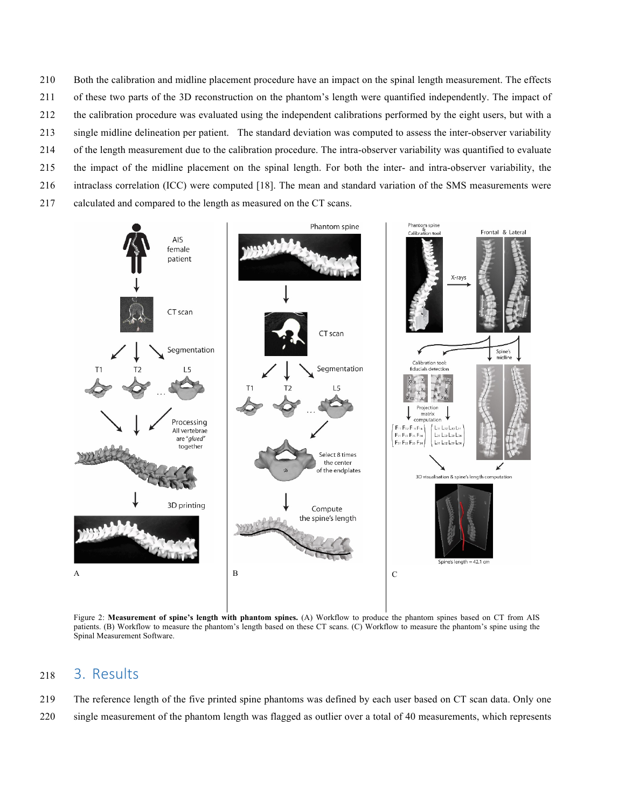Both the calibration and midline placement procedure have an impact on the spinal length measurement. The effects of these two parts of the 3D reconstruction on the phantom's length were quantified independently. The impact of the calibration procedure was evaluated using the independent calibrations performed by the eight users, but with a single midline delineation per patient. The standard deviation was computed to assess the inter-observer variability of the length measurement due to the calibration procedure. The intra-observer variability was quantified to evaluate the impact of the midline placement on the spinal length. For both the inter- and intra-observer variability, the intraclass correlation (ICC) were computed [18]. The mean and standard variation of the SMS measurements were calculated and compared to the length as measured on the CT scans.



Figure 2: **Measurement of spine's length with phantom spines.** (A) Workflow to produce the phantom spines based on CT from AIS patients. (B) Workflow to measure the phantom's length based on these CT scans. (C) Workflow to measure the phantom's spine using the Spinal Measurement Software.

## 3. Results

 The reference length of the five printed spine phantoms was defined by each user based on CT scan data. Only one single measurement of the phantom length was flagged as outlier over a total of 40 measurements, which represents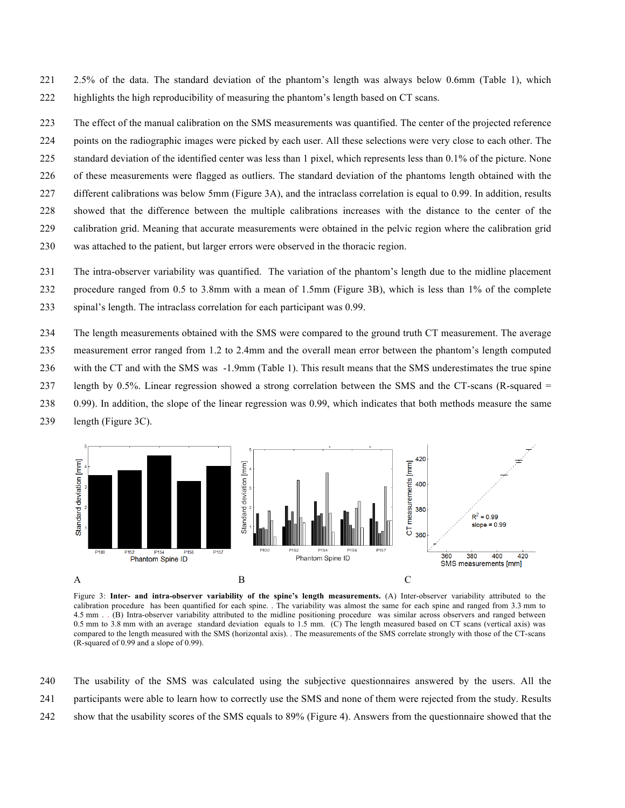2.5% of the data. The standard deviation of the phantom's length was always below 0.6mm (Table 1), which highlights the high reproducibility of measuring the phantom's length based on CT scans.

 The effect of the manual calibration on the SMS measurements was quantified. The center of the projected reference points on the radiographic images were picked by each user. All these selections were very close to each other. The standard deviation of the identified center was less than 1 pixel, which represents less than 0.1% of the picture. None of these measurements were flagged as outliers. The standard deviation of the phantoms length obtained with the different calibrations was below 5mm (Figure 3A), and the intraclass correlation is equal to 0.99. In addition, results showed that the difference between the multiple calibrations increases with the distance to the center of the calibration grid. Meaning that accurate measurements were obtained in the pelvic region where the calibration grid

- was attached to the patient, but larger errors were observed in the thoracic region.
- The intra-observer variability was quantified. The variation of the phantom's length due to the midline placement procedure ranged from 0.5 to 3.8mm with a mean of 1.5mm (Figure 3B), which is less than 1% of the complete spinal's length. The intraclass correlation for each participant was 0.99.
- The length measurements obtained with the SMS were compared to the ground truth CT measurement. The average
- measurement error ranged from 1.2 to 2.4mm and the overall mean error between the phantom's length computed
- with the CT and with the SMS was -1.9mm (Table 1). This result means that the SMS underestimates the true spine
- length by 0.5%. Linear regression showed a strong correlation between the SMS and the CT-scans (R-squared =
- 0.99). In addition, the slope of the linear regression was 0.99, which indicates that both methods measure the same





Figure 3: **Inter- and intra-observer variability of the spine's length measurements.** (A) Inter-observer variability attributed to the calibration procedure has been quantified for each spine. . The variability was almost the same for each spine and ranged from 3.3 mm to 4.5 mm . . (B) Intra-observer variability attributed to the midline positioning procedure was similar across observers and ranged between 0.5 mm to 3.8 mm with an average standard deviation equals to 1.5 mm. (C) The length measured based on CT scans (vertical axis) was compared to the length measured with the SMS (horizontal axis). . The measurements of the SMS correlate strongly with those of the CT-scans (R-squared of 0.99 and a slope of 0.99).

 The usability of the SMS was calculated using the subjective questionnaires answered by the users. All the participants were able to learn how to correctly use the SMS and none of them were rejected from the study. Results show that the usability scores of the SMS equals to 89% (Figure 4). Answers from the questionnaire showed that the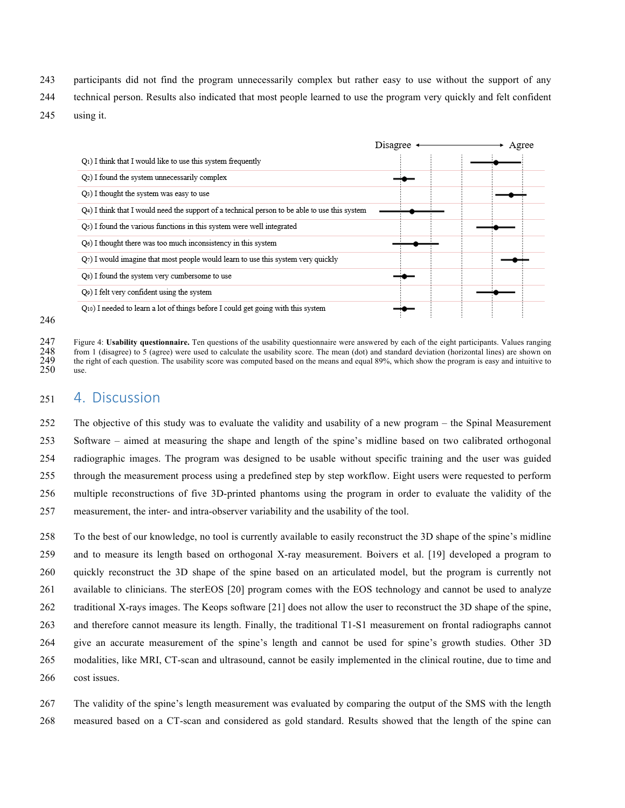- participants did not find the program unnecessarily complex but rather easy to use without the support of any
- technical person. Results also indicated that most people learned to use the program very quickly and felt confident
- using it.

|                                                                                               | Disagree $\triangleleft$ | Agree |
|-----------------------------------------------------------------------------------------------|--------------------------|-------|
| Q <sub>1</sub> ) I think that I would like to use this system frequently                      |                          |       |
| Q <sub>2</sub> ) I found the system unnecessarily complex                                     |                          |       |
| Q <sub>3</sub> ) I thought the system was easy to use                                         |                          |       |
| Q4) I think that I would need the support of a technical person to be able to use this system |                          |       |
| Q <sub>5</sub> ) I found the various functions in this system were well integrated            |                          |       |
| O <sub>6</sub> ) I thought there was too much inconsistency in this system                    |                          |       |
| $Q_7$ ) I would imagine that most people would learn to use this system very quickly          |                          |       |
| Q <sub>8</sub> ) I found the system very cumbersome to use                                    |                          |       |
| Q9) I felt very confident using the system                                                    |                          |       |
| Q <sub>10</sub> ) I needed to learn a lot of things before I could get going with this system |                          |       |

 Figure 4: **Usability questionnaire.** Ten questions of the usability questionnaire were answered by each of the eight participants. Values ranging from 1 (disagree) to 5 (agree) were used to calculate the usability score. The mean (dot) and standard deviation (horizontal lines) are shown on the right of each question. The usability score was computed based on the means and equal 89%, which show the program is easy and intuitive to  $\frac{249}{250}$  the

## 4. Discussion

 The objective of this study was to evaluate the validity and usability of a new program – the Spinal Measurement Software – aimed at measuring the shape and length of the spine's midline based on two calibrated orthogonal radiographic images. The program was designed to be usable without specific training and the user was guided through the measurement process using a predefined step by step workflow. Eight users were requested to perform multiple reconstructions of five 3D-printed phantoms using the program in order to evaluate the validity of the measurement, the inter- and intra-observer variability and the usability of the tool.

 To the best of our knowledge, no tool is currently available to easily reconstruct the 3D shape of the spine's midline and to measure its length based on orthogonal X-ray measurement. Boivers et al. [19] developed a program to quickly reconstruct the 3D shape of the spine based on an articulated model, but the program is currently not available to clinicians. The sterEOS [20] program comes with the EOS technology and cannot be used to analyze traditional X-rays images. The Keops software [21] does not allow the user to reconstruct the 3D shape of the spine, and therefore cannot measure its length. Finally, the traditional T1-S1 measurement on frontal radiographs cannot give an accurate measurement of the spine's length and cannot be used for spine's growth studies. Other 3D modalities, like MRI, CT-scan and ultrasound, cannot be easily implemented in the clinical routine, due to time and cost issues.

 The validity of the spine's length measurement was evaluated by comparing the output of the SMS with the length measured based on a CT-scan and considered as gold standard. Results showed that the length of the spine can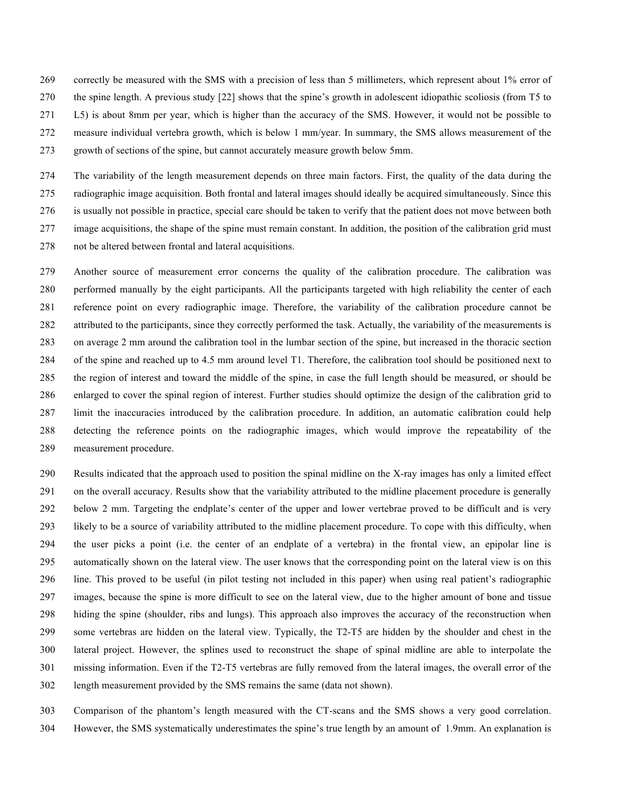correctly be measured with the SMS with a precision of less than 5 millimeters, which represent about 1% error of the spine length. A previous study [22] shows that the spine's growth in adolescent idiopathic scoliosis (from T5 to L5) is about 8mm per year, which is higher than the accuracy of the SMS. However, it would not be possible to

measure individual vertebra growth, which is below 1 mm/year. In summary, the SMS allows measurement of the

growth of sections of the spine, but cannot accurately measure growth below 5mm.

 The variability of the length measurement depends on three main factors. First, the quality of the data during the radiographic image acquisition. Both frontal and lateral images should ideally be acquired simultaneously. Since this is usually not possible in practice, special care should be taken to verify that the patient does not move between both image acquisitions, the shape of the spine must remain constant. In addition, the position of the calibration grid must not be altered between frontal and lateral acquisitions.

 Another source of measurement error concerns the quality of the calibration procedure. The calibration was performed manually by the eight participants. All the participants targeted with high reliability the center of each reference point on every radiographic image. Therefore, the variability of the calibration procedure cannot be attributed to the participants, since they correctly performed the task. Actually, the variability of the measurements is on average 2 mm around the calibration tool in the lumbar section of the spine, but increased in the thoracic section of the spine and reached up to 4.5 mm around level T1. Therefore, the calibration tool should be positioned next to the region of interest and toward the middle of the spine, in case the full length should be measured, or should be enlarged to cover the spinal region of interest. Further studies should optimize the design of the calibration grid to limit the inaccuracies introduced by the calibration procedure. In addition, an automatic calibration could help detecting the reference points on the radiographic images, which would improve the repeatability of the measurement procedure.

 Results indicated that the approach used to position the spinal midline on the X-ray images has only a limited effect on the overall accuracy. Results show that the variability attributed to the midline placement procedure is generally below 2 mm. Targeting the endplate's center of the upper and lower vertebrae proved to be difficult and is very likely to be a source of variability attributed to the midline placement procedure. To cope with this difficulty, when the user picks a point (i.e. the center of an endplate of a vertebra) in the frontal view, an epipolar line is automatically shown on the lateral view. The user knows that the corresponding point on the lateral view is on this line. This proved to be useful (in pilot testing not included in this paper) when using real patient's radiographic images, because the spine is more difficult to see on the lateral view, due to the higher amount of bone and tissue hiding the spine (shoulder, ribs and lungs). This approach also improves the accuracy of the reconstruction when some vertebras are hidden on the lateral view. Typically, the T2-T5 are hidden by the shoulder and chest in the lateral project. However, the splines used to reconstruct the shape of spinal midline are able to interpolate the missing information. Even if the T2-T5 vertebras are fully removed from the lateral images, the overall error of the length measurement provided by the SMS remains the same (data not shown).

 Comparison of the phantom's length measured with the CT-scans and the SMS shows a very good correlation. However, the SMS systematically underestimates the spine's true length by an amount of 1.9mm. An explanation is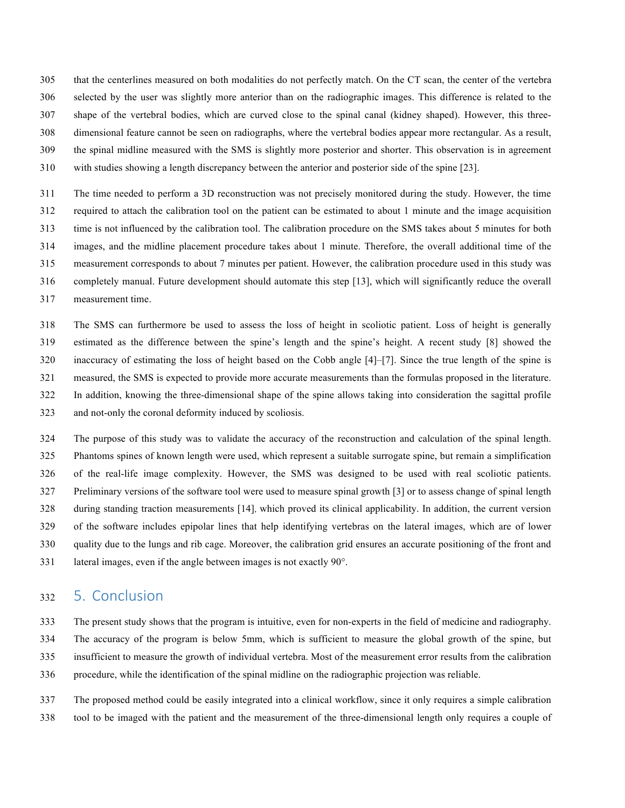that the centerlines measured on both modalities do not perfectly match. On the CT scan, the center of the vertebra selected by the user was slightly more anterior than on the radiographic images. This difference is related to the shape of the vertebral bodies, which are curved close to the spinal canal (kidney shaped). However, this three- dimensional feature cannot be seen on radiographs, where the vertebral bodies appear more rectangular. As a result, the spinal midline measured with the SMS is slightly more posterior and shorter. This observation is in agreement with studies showing a length discrepancy between the anterior and posterior side of the spine [23].

 The time needed to perform a 3D reconstruction was not precisely monitored during the study. However, the time required to attach the calibration tool on the patient can be estimated to about 1 minute and the image acquisition time is not influenced by the calibration tool. The calibration procedure on the SMS takes about 5 minutes for both images, and the midline placement procedure takes about 1 minute. Therefore, the overall additional time of the measurement corresponds to about 7 minutes per patient. However, the calibration procedure used in this study was completely manual. Future development should automate this step [13], which will significantly reduce the overall measurement time.

 The SMS can furthermore be used to assess the loss of height in scoliotic patient. Loss of height is generally estimated as the difference between the spine's length and the spine's height. A recent study [8] showed the inaccuracy of estimating the loss of height based on the Cobb angle [4]–[7]. Since the true length of the spine is measured, the SMS is expected to provide more accurate measurements than the formulas proposed in the literature. In addition, knowing the three-dimensional shape of the spine allows taking into consideration the sagittal profile and not-only the coronal deformity induced by scoliosis.

 The purpose of this study was to validate the accuracy of the reconstruction and calculation of the spinal length. Phantoms spines of known length were used, which represent a suitable surrogate spine, but remain a simplification of the real-life image complexity. However, the SMS was designed to be used with real scoliotic patients. Preliminary versions of the software tool were used to measure spinal growth [3] or to assess change of spinal length during standing traction measurements [14], which proved its clinical applicability. In addition, the current version of the software includes epipolar lines that help identifying vertebras on the lateral images, which are of lower quality due to the lungs and rib cage. Moreover, the calibration grid ensures an accurate positioning of the front and lateral images, even if the angle between images is not exactly 90°.

## 5. Conclusion

The present study shows that the program is intuitive, even for non-experts in the field of medicine and radiography.

The accuracy of the program is below 5mm, which is sufficient to measure the global growth of the spine, but

insufficient to measure the growth of individual vertebra. Most of the measurement error results from the calibration

procedure, while the identification of the spinal midline on the radiographic projection was reliable.

 The proposed method could be easily integrated into a clinical workflow, since it only requires a simple calibration tool to be imaged with the patient and the measurement of the three-dimensional length only requires a couple of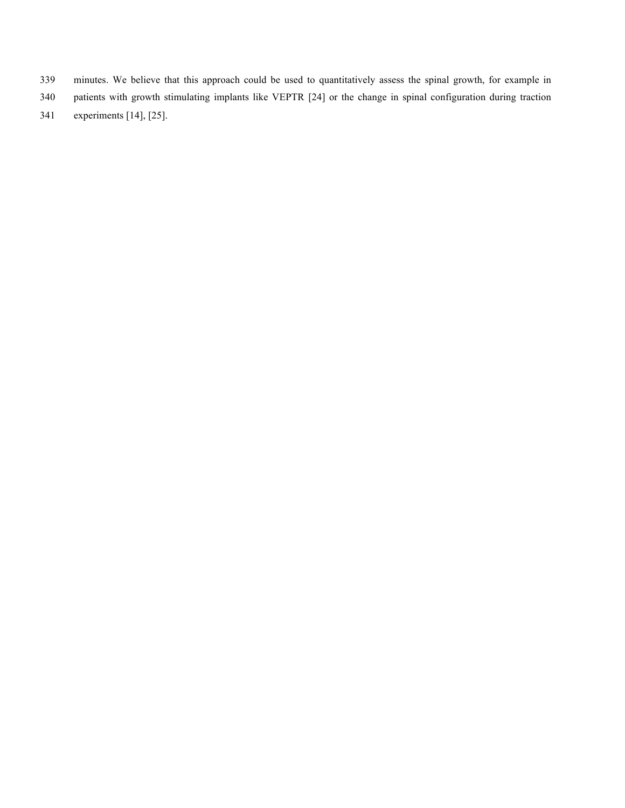- minutes. We believe that this approach could be used to quantitatively assess the spinal growth, for example in
- patients with growth stimulating implants like VEPTR [24] or the change in spinal configuration during traction
- experiments [14], [25].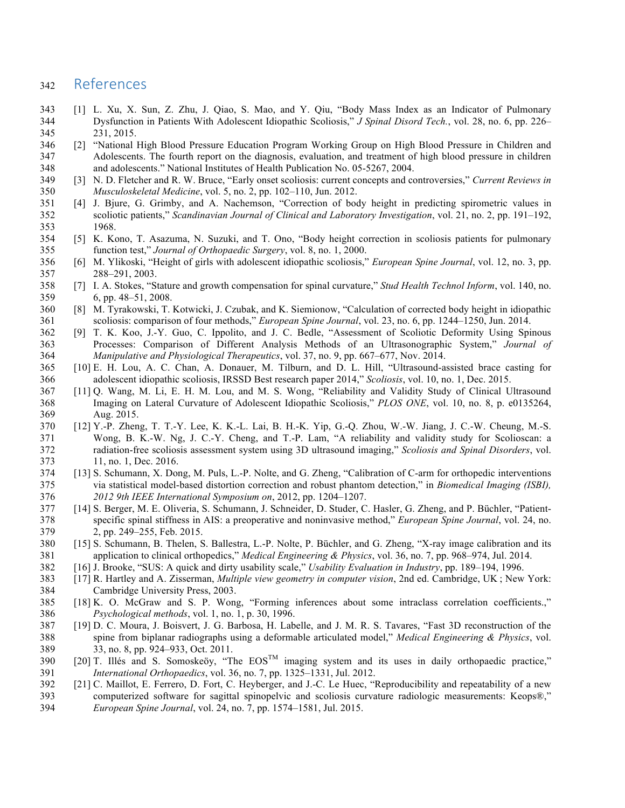## References

- [1] L. Xu, X. Sun, Z. Zhu, J. Qiao, S. Mao, and Y. Qiu, "Body Mass Index as an Indicator of Pulmonary Dysfunction in Patients With Adolescent Idiopathic Scoliosis," *J Spinal Disord Tech.*, vol. 28, no. 6, pp. 226– 231, 2015.
- [2] "National High Blood Pressure Education Program Working Group on High Blood Pressure in Children and Adolescents. The fourth report on the diagnosis, evaluation, and treatment of high blood pressure in children and adolescents." National Institutes of Health Publication No. 05-5267, 2004.
- [3] N. D. Fletcher and R. W. Bruce, "Early onset scoliosis: current concepts and controversies," *Current Reviews in Musculoskeletal Medicine*, vol. 5, no. 2, pp. 102–110, Jun. 2012.
- [4] J. Bjure, G. Grimby, and A. Nachemson, "Correction of body height in predicting spirometric values in scoliotic patients," *Scandinavian Journal of Clinical and Laboratory Investigation*, vol. 21, no. 2, pp. 191–192, 1968.
- [5] K. Kono, T. Asazuma, N. Suzuki, and T. Ono, "Body height correction in scoliosis patients for pulmonary function test," *Journal of Orthopaedic Surgery*, vol. 8, no. 1, 2000.
- [6] M. Ylikoski, "Height of girls with adolescent idiopathic scoliosis," *European Spine Journal*, vol. 12, no. 3, pp. 288–291, 2003.
- [7] I. A. Stokes, "Stature and growth compensation for spinal curvature," *Stud Health Technol Inform*, vol. 140, no. 6, pp. 48–51, 2008.
- [8] M. Tyrakowski, T. Kotwicki, J. Czubak, and K. Siemionow, "Calculation of corrected body height in idiopathic scoliosis: comparison of four methods," *European Spine Journal*, vol. 23, no. 6, pp. 1244–1250, Jun. 2014.
- [9] T. K. Koo, J.-Y. Guo, C. Ippolito, and J. C. Bedle, "Assessment of Scoliotic Deformity Using Spinous Processes: Comparison of Different Analysis Methods of an Ultrasonographic System," *Journal of Manipulative and Physiological Therapeutics*, vol. 37, no. 9, pp. 667–677, Nov. 2014.
- [10] E. H. Lou, A. C. Chan, A. Donauer, M. Tilburn, and D. L. Hill, "Ultrasound-assisted brace casting for adolescent idiopathic scoliosis, IRSSD Best research paper 2014," *Scoliosis*, vol. 10, no. 1, Dec. 2015.
- [11] Q. Wang, M. Li, E. H. M. Lou, and M. S. Wong, "Reliability and Validity Study of Clinical Ultrasound Imaging on Lateral Curvature of Adolescent Idiopathic Scoliosis," *PLOS ONE*, vol. 10, no. 8, p. e0135264, Aug. 2015.
- [12] Y.-P. Zheng, T. T.-Y. Lee, K. K.-L. Lai, B. H.-K. Yip, G.-Q. Zhou, W.-W. Jiang, J. C.-W. Cheung, M.-S. Wong, B. K.-W. Ng, J. C.-Y. Cheng, and T.-P. Lam, "A reliability and validity study for Scolioscan: a radiation-free scoliosis assessment system using 3D ultrasound imaging," *Scoliosis and Spinal Disorders*, vol. 11, no. 1, Dec. 2016.
- [13] S. Schumann, X. Dong, M. Puls, L.-P. Nolte, and G. Zheng, "Calibration of C-arm for orthopedic interventions via statistical model-based distortion correction and robust phantom detection," in *Biomedical Imaging (ISBI), 2012 9th IEEE International Symposium on*, 2012, pp. 1204–1207.
- [14] S. Berger, M. E. Oliveria, S. Schumann, J. Schneider, D. Studer, C. Hasler, G. Zheng, and P. Büchler, "Patient- specific spinal stiffness in AIS: a preoperative and noninvasive method," *European Spine Journal*, vol. 24, no. 2, pp. 249–255, Feb. 2015.
- [15] S. Schumann, B. Thelen, S. Ballestra, L.-P. Nolte, P. Büchler, and G. Zheng, "X-ray image calibration and its application to clinical orthopedics," *Medical Engineering & Physics*, vol. 36, no. 7, pp. 968–974, Jul. 2014.
- [16] J. Brooke, "SUS: A quick and dirty usability scale," *Usability Evaluation in Industry*, pp. 189–194, 1996.
- [17] R. Hartley and A. Zisserman, *Multiple view geometry in computer vision*, 2nd ed. Cambridge, UK ; New York: Cambridge University Press, 2003.
- [18] K. O. McGraw and S. P. Wong, "Forming inferences about some intraclass correlation coefficients.," *Psychological methods*, vol. 1, no. 1, p. 30, 1996.
- [19] D. C. Moura, J. Boisvert, J. G. Barbosa, H. Labelle, and J. M. R. S. Tavares, "Fast 3D reconstruction of the spine from biplanar radiographs using a deformable articulated model," *Medical Engineering & Physics*, vol. 33, no. 8, pp. 924–933, Oct. 2011.
- $[20]$  T. Illés and S. Somoskeöy, "The  $EOS^{TM}$  imaging system and its uses in daily orthopaedic practice," *International Orthopaedics*, vol. 36, no. 7, pp. 1325–1331, Jul. 2012.
- [21] C. Maillot, E. Ferrero, D. Fort, C. Heyberger, and J.-C. Le Huec, "Reproducibility and repeatability of a new computerized software for sagittal spinopelvic and scoliosis curvature radiologic measurements: Keops®," *European Spine Journal*, vol. 24, no. 7, pp. 1574–1581, Jul. 2015.